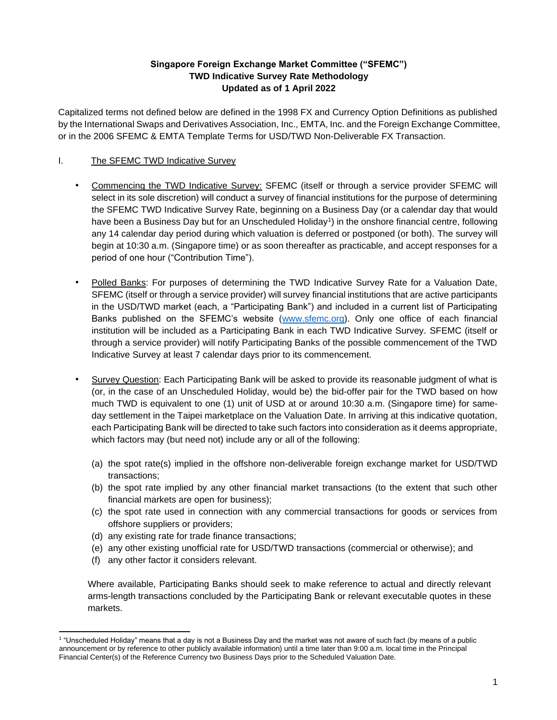## **Singapore Foreign Exchange Market Committee ("SFEMC") TWD Indicative Survey Rate Methodology Updated as of 1 April 2022**

Capitalized terms not defined below are defined in the 1998 FX and Currency Option Definitions as published by the International Swaps and Derivatives Association, Inc., EMTA, Inc. and the Foreign Exchange Committee, or in the 2006 SFEMC & EMTA Template Terms for USD/TWD Non-Deliverable FX Transaction.

# I. The SFEMC TWD Indicative Survey

- Commencing the TWD Indicative Survey: SFEMC (itself or through a service provider SFEMC will select in its sole discretion) will conduct a survey of financial institutions for the purpose of determining the SFEMC TWD Indicative Survey Rate, beginning on a Business Day (or a calendar day that would have been a Business Day but for an Unscheduled Holiday<sup>1</sup>) in the onshore financial centre, following any 14 calendar day period during which valuation is deferred or postponed (or both). The survey will begin at 10:30 a.m. (Singapore time) or as soon thereafter as practicable, and accept responses for a period of one hour ("Contribution Time").
- Polled Banks: For purposes of determining the TWD Indicative Survey Rate for a Valuation Date, SFEMC (itself or through a service provider) will survey financial institutions that are active participants in the USD/TWD market (each, a "Participating Bank") and included in a current list of Participating Banks published on the SFEMC's website [\(www.sfemc.org\)](http://www.sfemc.org/). Only one office of each financial institution will be included as a Participating Bank in each TWD Indicative Survey. SFEMC (itself or through a service provider) will notify Participating Banks of the possible commencement of the TWD Indicative Survey at least 7 calendar days prior to its commencement.
- Survey Question: Each Participating Bank will be asked to provide its reasonable judgment of what is (or, in the case of an Unscheduled Holiday, would be) the bid-offer pair for the TWD based on how much TWD is equivalent to one (1) unit of USD at or around 10:30 a.m. (Singapore time) for sameday settlement in the Taipei marketplace on the Valuation Date. In arriving at this indicative quotation, each Participating Bank will be directed to take such factors into consideration as it deems appropriate, which factors may (but need not) include any or all of the following:
	- (a) the spot rate(s) implied in the offshore non-deliverable foreign exchange market for USD/TWD transactions;
	- (b) the spot rate implied by any other financial market transactions (to the extent that such other financial markets are open for business);
	- (c) the spot rate used in connection with any commercial transactions for goods or services from offshore suppliers or providers;
	- (d) any existing rate for trade finance transactions;
	- (e) any other existing unofficial rate for USD/TWD transactions (commercial or otherwise); and
	- (f) any other factor it considers relevant.

Where available, Participating Banks should seek to make reference to actual and directly relevant arms-length transactions concluded by the Participating Bank or relevant executable quotes in these markets.

<sup>1</sup> "Unscheduled Holiday" means that a day is not a Business Day and the market was not aware of such fact (by means of a public announcement or by reference to other publicly available information) until a time later than 9:00 a.m. local time in the Principal Financial Center(s) of the Reference Currency two Business Days prior to the Scheduled Valuation Date.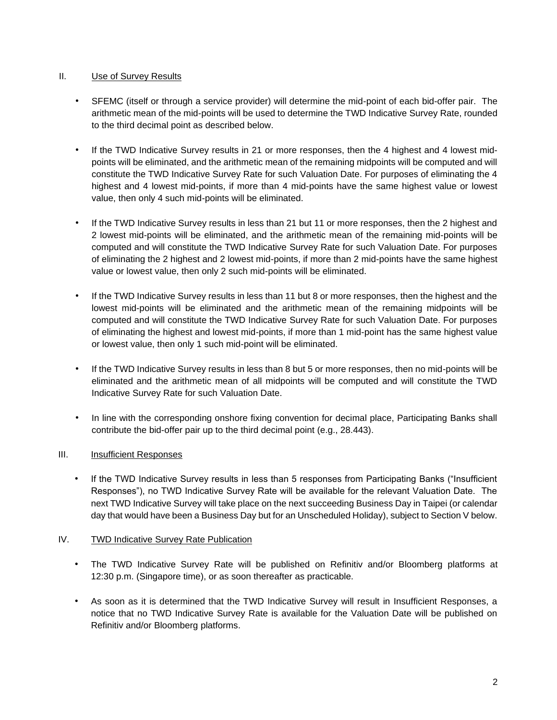## II. Use of Survey Results

- SFEMC (itself or through a service provider) will determine the mid-point of each bid-offer pair. The arithmetic mean of the mid-points will be used to determine the TWD Indicative Survey Rate, rounded to the third decimal point as described below.
- If the TWD Indicative Survey results in 21 or more responses, then the 4 highest and 4 lowest midpoints will be eliminated, and the arithmetic mean of the remaining midpoints will be computed and will constitute the TWD Indicative Survey Rate for such Valuation Date. For purposes of eliminating the 4 highest and 4 lowest mid-points, if more than 4 mid-points have the same highest value or lowest value, then only 4 such mid-points will be eliminated.
- If the TWD Indicative Survey results in less than 21 but 11 or more responses, then the 2 highest and 2 lowest mid-points will be eliminated, and the arithmetic mean of the remaining mid-points will be computed and will constitute the TWD Indicative Survey Rate for such Valuation Date. For purposes of eliminating the 2 highest and 2 lowest mid-points, if more than 2 mid-points have the same highest value or lowest value, then only 2 such mid-points will be eliminated.
- If the TWD Indicative Survey results in less than 11 but 8 or more responses, then the highest and the lowest mid-points will be eliminated and the arithmetic mean of the remaining midpoints will be computed and will constitute the TWD Indicative Survey Rate for such Valuation Date. For purposes of eliminating the highest and lowest mid-points, if more than 1 mid-point has the same highest value or lowest value, then only 1 such mid-point will be eliminated.
- If the TWD Indicative Survey results in less than 8 but 5 or more responses, then no mid-points will be eliminated and the arithmetic mean of all midpoints will be computed and will constitute the TWD Indicative Survey Rate for such Valuation Date.
- In line with the corresponding onshore fixing convention for decimal place, Participating Banks shall contribute the bid-offer pair up to the third decimal point (e.g., 28.443).

# III. Insufficient Responses

If the TWD Indicative Survey results in less than 5 responses from Participating Banks ("Insufficient Responses"), no TWD Indicative Survey Rate will be available for the relevant Valuation Date. The next TWD Indicative Survey will take place on the next succeeding Business Day in Taipei (or calendar day that would have been a Business Day but for an Unscheduled Holiday), subject to Section V below.

#### IV. TWD Indicative Survey Rate Publication

- The TWD Indicative Survey Rate will be published on Refinitiv and/or Bloomberg platforms at 12:30 p.m. (Singapore time), or as soon thereafter as practicable.
- As soon as it is determined that the TWD Indicative Survey will result in Insufficient Responses, a notice that no TWD Indicative Survey Rate is available for the Valuation Date will be published on Refinitiv and/or Bloomberg platforms.